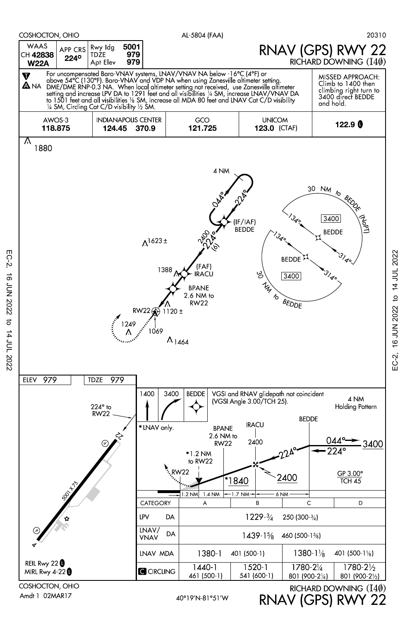

EC-2, 16 JUN 2022 to 14 JUL 2022

 $\sigma$ 

14 JUL 2022

**16 JUN 2022** 

 $EC-2$ 

RNAV (GPS) RWY 22

EC-2, 16 JUN 2022 to 14 JUL 2022

EC-2,

16 JUN 2022 to 14 JUL 2022